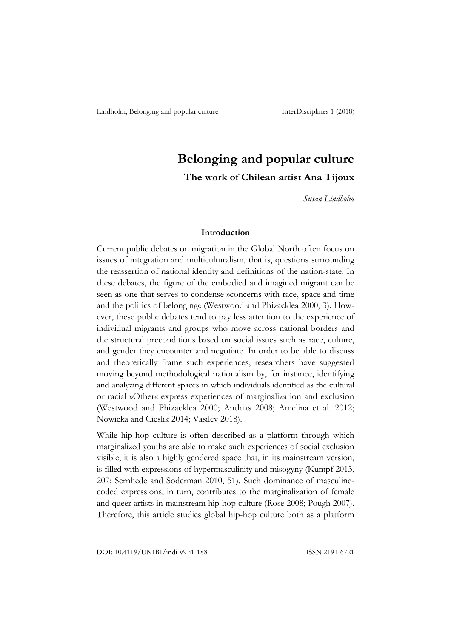# **Belonging and popular culture The work of Chilean artist Ana Tijoux**

*Susan Lindholm*

### **Introduction**

Current public debates on migration in the Global North often focus on issues of integration and multiculturalism, that is, questions surrounding the reassertion of national identity and definitions of the nation-state. In these debates, the figure of the embodied and imagined migrant can be seen as one that serves to condense »concerns with race, space and time and the politics of belonging« (Westwood and Phizacklea 2000, 3). However, these public debates tend to pay less attention to the experience of individual migrants and groups who move across national borders and the structural preconditions based on social issues such as race, culture, and gender they encounter and negotiate. In order to be able to discuss and theoretically frame such experiences, researchers have suggested moving beyond methodological nationalism by, for instance, identifying and analyzing different spaces in which individuals identified as the cultural or racial »Other« express experiences of marginalization and exclusion (Westwood and Phizacklea 2000; Anthias 2008; Amelina et al. 2012; Nowicka and Cieslik 2014; Vasilev 2018).

While hip-hop culture is often described as a platform through which marginalized youths are able to make such experiences of social exclusion visible, it is also a highly gendered space that, in its mainstream version, is filled with expressions of hypermasculinity and misogyny (Kumpf 2013, 207; Sernhede and Söderman 2010, 51). Such dominance of masculinecoded expressions, in turn, contributes to the marginalization of female and queer artists in mainstream hip-hop culture (Rose 2008; Pough 2007). Therefore, this article studies global hip-hop culture both as a platform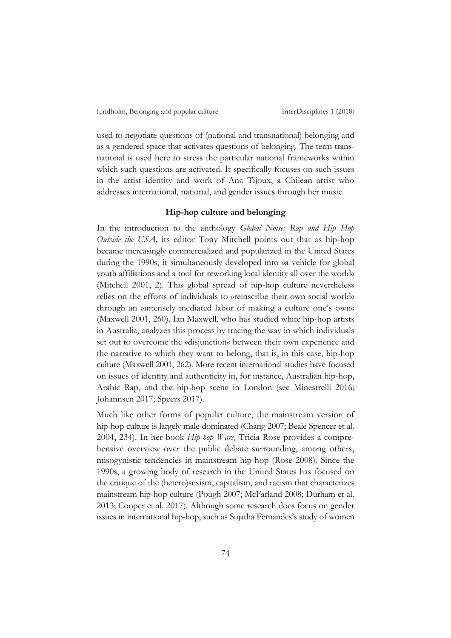used to negotiate questions of (national and transnational) belonging and as a gendered space that activates questions of belonging. The term transnational is used here to stress the particular national frameworks within which such questions are activated. It specifically focuses on such issues in the artist identity and work of Ana Tijoux, a Chilean artist who addresses international, national, and gender issues through her music.

## **Hip-hop culture and belonging**

In the introduction to the anthology *Global Noise: Rap and Hip Hop Outside the USA,* its editor Tony Mitchell points out that as hip-hop became increasingly commercialized and popularized in the United States during the 1990s, it simultaneously developed into »a vehicle for global youth affiliations and a tool for reworking local identity all over the world« (Mitchell 2001, 2). This global spread of hip-hop culture nevertheless relies on the efforts of individuals to »reinscribe their own social world« through an »intensely mediated labor of making a culture one's own« (Maxwell 2001, 260). Ian Maxwell, who has studied white hip-hop artists in Australia, analyzes this process by tracing the way in which individuals set out to overcome the »disjunction« between their own experience and the narrative to which they want to belong, that is, in this case, hip-hop culture (Maxwell 2001, 262). More recent international studies have focused on issues of identity and authenticity in, for instance, Australian hip-hop, Arabic Rap, and the hip-hop scene in London (see Minestrelli 2016; Johannsen 2017; Speers 2017).

Much like other forms of popular culture, the mainstream version of hip-hop culture is largely male-dominated (Chang 2007; Beale Spencer et al. 2004, 234). In her book *Hip-hop Wars,* Tricia Rose provides a comprehensive overview over the public debate surrounding, among others, misogynistic tendencies in mainstream hip-hop (Rose 2008). Since the 1990s, a growing body of research in the United States has focused on the critique of the (hetero)sexism, capitalism, and racism that characterizes mainstream hip-hop culture (Pough 2007; McFarland 2008; Durham et al. 2013; Cooper et al. 2017). Although some research does focus on gender issues in international hip-hop, such as Sujatha Fernandes's study of women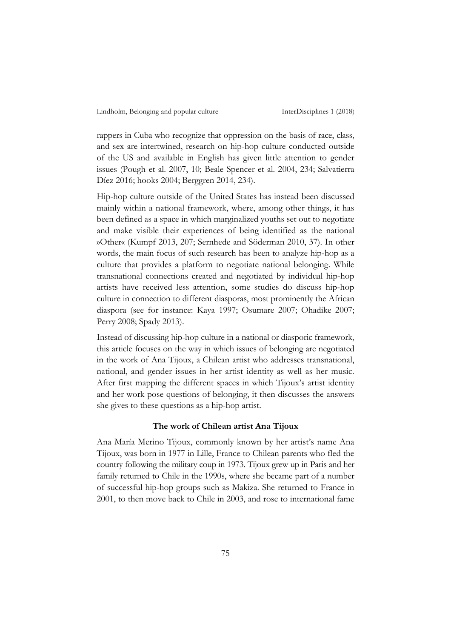rappers in Cuba who recognize that oppression on the basis of race, class, and sex are intertwined, research on hip-hop culture conducted outside of the US and available in English has given little attention to gender issues (Pough et al. 2007, 10; Beale Spencer et al. 2004, 234; Salvatierra Díez 2016; hooks 2004; Berggren 2014, 234).

Hip-hop culture outside of the United States has instead been discussed mainly within a national framework, where, among other things, it has been defined as a space in which marginalized youths set out to negotiate and make visible their experiences of being identified as the national »Other« (Kumpf 2013, 207; Sernhede and Söderman 2010, 37). In other words, the main focus of such research has been to analyze hip-hop as a culture that provides a platform to negotiate national belonging. While transnational connections created and negotiated by individual hip-hop artists have received less attention, some studies do discuss hip-hop culture in connection to different diasporas, most prominently the African diaspora (see for instance: Kaya 1997; Osumare 2007; Ohadike 2007; Perry 2008; Spady 2013).

Instead of discussing hip-hop culture in a national or diasporic framework, this article focuses on the way in which issues of belonging are negotiated in the work of Ana Tijoux, a Chilean artist who addresses transnational, national, and gender issues in her artist identity as well as her music. After first mapping the different spaces in which Tijoux's artist identity and her work pose questions of belonging, it then discusses the answers she gives to these questions as a hip-hop artist.

### **The work of Chilean artist Ana Tijoux**

Ana María Merino Tijoux, commonly known by her artist's name Ana Tijoux, was born in 1977 in Lille, France to Chilean parents who fled the country following the military coup in 1973. Tijoux grew up in Paris and her family returned to Chile in the 1990s, where she became part of a number of successful hip-hop groups such as Makiza. She returned to France in 2001, to then move back to Chile in 2003, and rose to international fame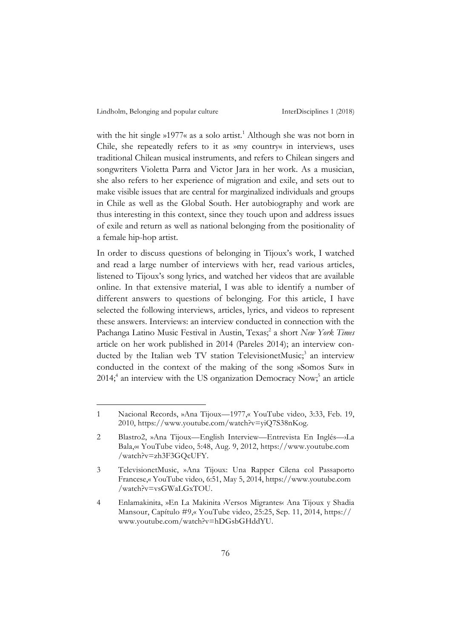with the hit single »1977« as a solo artist.<sup>1</sup> Although she was not born in Chile, she repeatedly refers to it as »my country« in interviews, uses traditional Chilean musical instruments, and refers to Chilean singers and songwriters Violetta Parra and Victor Jara in her work. As a musician, she also refers to her experience of migration and exile, and sets out to make visible issues that are central for marginalized individuals and groups in Chile as well as the Global South. Her autobiography and work are thus interesting in this context, since they touch upon and address issues of exile and return as well as national belonging from the positionality of a female hip-hop artist.

In order to discuss questions of belonging in Tijoux's work, I watched and read a large number of interviews with her, read various articles, listened to Tijoux's song lyrics, and watched her videos that are available online. In that extensive material, I was able to identify a number of different answers to questions of belonging. For this article, I have selected the following interviews, articles, lyrics, and videos to represent these answers. Interviews: an interview conducted in connection with the Pachanga Latino Music Festival in Austin, Texas; <sup>2</sup> a short *New York Times* article on her work published in 2014 (Pareles 2014); an interview conducted by the Italian web TV station TelevisionetMusic;<sup>3</sup> an interview conducted in the context of the making of the song »Somos Sur« in 2014; <sup>4</sup> an interview with the US organization Democracy Now; <sup>5</sup> an article

<sup>1</sup> Nacional Records, »Ana Tijoux—1977,« YouTube video, 3:33, Feb. 19, 2010, https://www.youtube.com/watch?v=yiQ7S38nKog.

<sup>2</sup> Blastro2, »Ana Tijoux—English Interview—Entrevista En Inglés—›La Bala,« YouTube video, 5:48, Aug. 9, 2012, https://www.youtube.com /watch?v=zh3F3GQcUFY.

<sup>3</sup> TelevisionetMusic, »Ana Tijoux: Una Rapper Cilena col Passaporto Francese,« YouTube video, 6:51, May 5, 2014, https://www.youtube.com /watch?v=vsGWaLGxTOU.

<sup>4</sup> Enlamakinita, »En La Makinita ›Versos Migrantes‹ Ana Tijoux y Shadia Mansour, Capítulo #9,« YouTube video, 25:25, Sep. 11, 2014, https:// www.youtube.com/watch?v=hDGsbGHddYU.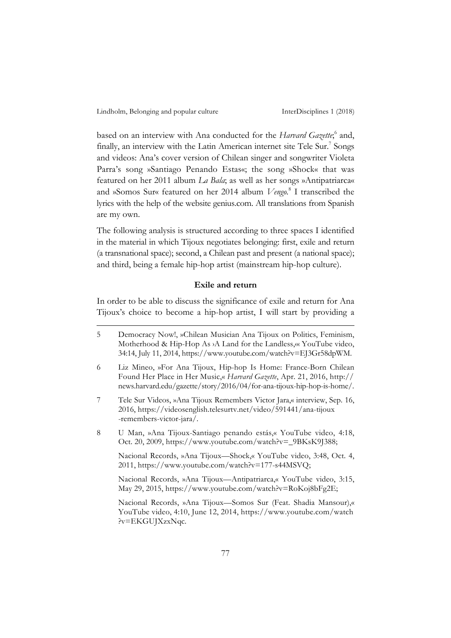based on an interview with Ana conducted for the *Harvard Gazette*; <sup>6</sup> and, finally, an interview with the Latin American internet site Tele Sur.<sup>7</sup> Songs and videos: Ana's cover version of Chilean singer and songwriter Violeta Parra's song »Santiago Penando Estas«; the song »Shock« that was featured on her 2011 album *La Bala*; as well as her songs »Antipatriarca« and »Somos Sur« featured on her 2014 album *Vengo.*<sup>8</sup> I transcribed the lyrics with the help of the website genius.com. All translations from Spanish are my own.

The following analysis is structured according to three spaces I identified in the material in which Tijoux negotiates belonging: first, exile and return (a transnational space); second, a Chilean past and present (a national space); and third, being a female hip-hop artist (mainstream hip-hop culture).

## **Exile and return**

In order to be able to discuss the significance of exile and return for Ana Tijoux's choice to become a hip-hop artist, I will start by providing a

8 U Man, »Ana Tijoux-Santiago penando estás,« YouTube video, 4:18, Oct. 20, 2009, https://www.youtube.com/watch?v=\_9BKsK9J388;

Nacional Records, »Ana Tijoux—Shock,« YouTube video, 3:48, Oct. 4, 2011, https://www.youtube.com/watch?v=177-s44MSVQ;

Nacional Records, »Ana Tijoux—Antipatriarca,« YouTube video, 3:15, May 29, 2015, https://www.youtube.com/watch?v=RoKoj8bFg2E;

Nacional Records, »Ana Tijoux—Somos Sur (Feat. Shadia Mansour),« YouTube video, 4:10, June 12, 2014, https://www.youtube.com/watch ?v=EKGUJXzxNqc.

<sup>5</sup> Democracy Now!, »Chilean Musician Ana Tijoux on Politics, Feminism, Motherhood & Hip-Hop As >A Land for the Landless, « YouTube video, 34:14, July 11, 2014, https://www.youtube.com/watch?v=EJ3Gr58dpWM.

<sup>6</sup> Liz Mineo, »For Ana Tijoux, Hip-hop Is Home: France-Born Chilean Found Her Place in Her Music,« *Harvard Gazette*, Apr. 21, 2016, http:// news.harvard.edu/gazette/story/2016/04/for-ana-tijoux-hip-hop-is-home/.

<sup>7</sup> Tele Sur Videos, »Ana Tijoux Remembers Victor Jara,« interview, Sep. 16, 2016, https://videosenglish.telesurtv.net/video/591441/ana-tijoux -remembers-victor-jara/.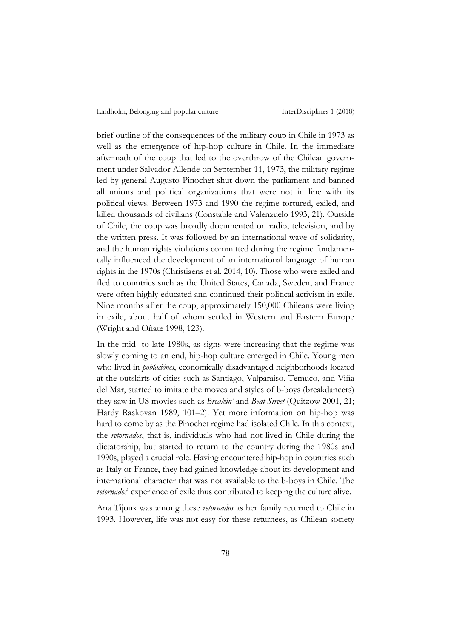brief outline of the consequences of the military coup in Chile in 1973 as well as the emergence of hip-hop culture in Chile. In the immediate aftermath of the coup that led to the overthrow of the Chilean government under Salvador Allende on September 11, 1973, the military regime led by general Augusto Pinochet shut down the parliament and banned all unions and political organizations that were not in line with its political views. Between 1973 and 1990 the regime tortured, exiled, and killed thousands of civilians (Constable and Valenzuelo 1993, 21). Outside of Chile, the coup was broadly documented on radio, television, and by the written press. It was followed by an international wave of solidarity, and the human rights violations committed during the regime fundamentally influenced the development of an international language of human rights in the 1970s (Christiaens et al. 2014, 10). Those who were exiled and fled to countries such as the United States, Canada, Sweden, and France were often highly educated and continued their political activism in exile. Nine months after the coup, approximately 150,000 Chileans were living in exile, about half of whom settled in Western and Eastern Europe (Wright and Oñate 1998, 123).

In the mid- to late 1980s, as signs were increasing that the regime was slowly coming to an end, hip-hop culture emerged in Chile. Young men who lived in *poblaciónes*, economically disadvantaged neighborhoods located at the outskirts of cities such as Santiago, Valparaiso, Temuco, and Viña del Mar, started to imitate the moves and styles of b-boys (breakdancers) they saw in US movies such as *Breakin'* and *Beat Street* (Quitzow 2001, 21; Hardy Raskovan 1989, 101–2). Yet more information on hip-hop was hard to come by as the Pinochet regime had isolated Chile. In this context, the *retornados*, that is, individuals who had not lived in Chile during the dictatorship, but started to return to the country during the 1980s and 1990s, played a crucial role. Having encountered hip-hop in countries such as Italy or France, they had gained knowledge about its development and international character that was not available to the b-boys in Chile. The *retornados*' experience of exile thus contributed to keeping the culture alive.

Ana Tijoux was among these *retornados* as her family returned to Chile in 1993. However, life was not easy for these returnees, as Chilean society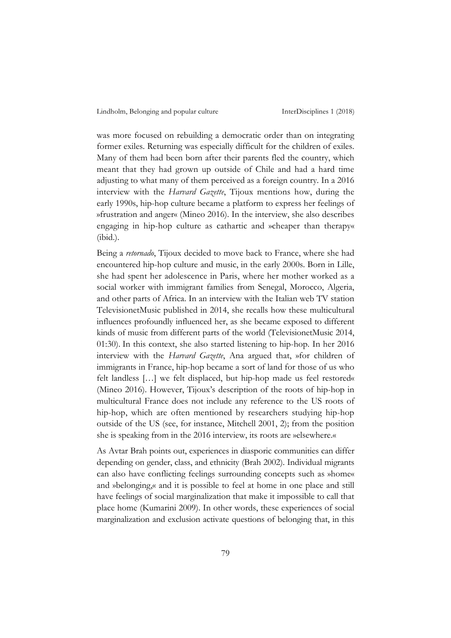was more focused on rebuilding a democratic order than on integrating former exiles. Returning was especially difficult for the children of exiles. Many of them had been born after their parents fled the country, which meant that they had grown up outside of Chile and had a hard time adjusting to what many of them perceived as a foreign country. In a 2016 interview with the *Harvard Gazette*, Tijoux mentions how, during the early 1990s, hip-hop culture became a platform to express her feelings of »frustration and anger« (Mineo 2016). In the interview, she also describes engaging in hip-hop culture as cathartic and »cheaper than therapy« (ibid.).

Being a *retornado*, Tijoux decided to move back to France, where she had encountered hip-hop culture and music, in the early 2000s. Born in Lille, she had spent her adolescence in Paris, where her mother worked as a social worker with immigrant families from Senegal, Morocco, Algeria, and other parts of Africa. In an interview with the Italian web TV station TelevisionetMusic published in 2014, she recalls how these multicultural influences profoundly influenced her, as she became exposed to different kinds of music from different parts of the world (TelevisionetMusic 2014, 01:30). In this context, she also started listening to hip-hop. In her 2016 interview with the *Harvard Gazette*, Ana argued that, »for children of immigrants in France, hip-hop became a sort of land for those of us who felt landless […] we felt displaced, but hip-hop made us feel restored« (Mineo 2016). However, Tijoux's description of the roots of hip-hop in multicultural France does not include any reference to the US roots of hip-hop, which are often mentioned by researchers studying hip-hop outside of the US (see, for instance, Mitchell 2001, 2); from the position she is speaking from in the 2016 interview, its roots are »elsewhere.«

As Avtar Brah points out, experiences in diasporic communities can differ depending on gender, class, and ethnicity (Brah 2002). Individual migrants can also have conflicting feelings surrounding concepts such as »home« and »belonging,« and it is possible to feel at home in one place and still have feelings of social marginalization that make it impossible to call that place home (Kumarini 2009). In other words, these experiences of social marginalization and exclusion activate questions of belonging that, in this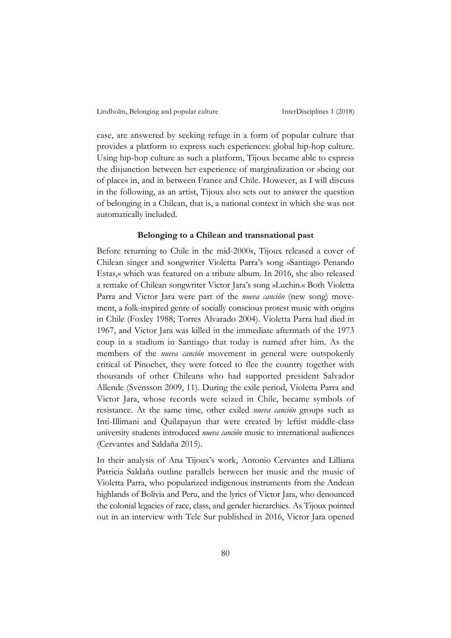case, are answered by seeking refuge in a form of popular culture that provides a platform to express such experiences: global hip-hop culture. Using hip-hop culture as such a platform, Tijoux became able to express the disjunction between her experience of marginalization or »being out of place« in, and in between France and Chile. However, as I will discuss in the following, as an artist, Tijoux also sets out to answer the question of belonging in a Chilean, that is, a national context in which she was not automatically included.

## **Belonging to a Chilean and transnational past**

Before returning to Chile in the mid-2000s, Tijoux released a cover of Chilean singer and songwriter Violetta Parra's song »Santiago Penando Estas,« which was featured on a tribute album. In 2016, she also released a remake of Chilean songwriter Victor Jara's song »Luchin.« Both Violetta Parra and Victor Jara were part of the *nueva canción* (new song) movement, a folk-inspired genre of socially conscious protest music with origins in Chile (Foxley 1988; Torres Alvarado 2004). Violetta Parra had died in 1967, and Victor Jara was killed in the immediate aftermath of the 1973 coup in a stadium in Santiago that today is named after him. As the members of the *nueva canción* movement in general were outspokenly critical of Pinochet, they were forced to flee the country together with thousands of other Chileans who had supported president Salvador Allende (Svensson 2009, 11). During the exile period, Violetta Parra and Victor Jara, whose records were seized in Chile, became symbols of resistance. At the same time, other exiled *nueva canción* groups such as Inti-Illimani and Quilapayun that were created by leftist middle-class university students introduced *nueva canción* music to international audiences (Cervantes and Saldaña 2015).

In their analysis of Ana Tijoux's work, Antonio Cervantes and Lilliana Patricia Saldaña outline parallels between her music and the music of Violetta Parra, who popularized indigenous instruments from the Andean highlands of Bolivia and Peru, and the lyrics of Victor Jara, who denounced the colonial legacies of race, class, and gender hierarchies. As Tijoux pointed out in an interview with Tele Sur published in 2016, Victor Jara opened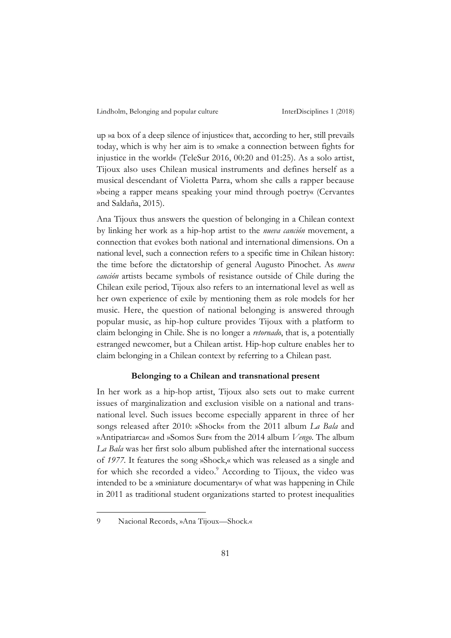up »a box of a deep silence of injustice« that, according to her, still prevails today, which is why her aim is to »make a connection between fights for injustice in the world« (TeleSur 2016, 00:20 and 01:25). As a solo artist, Tijoux also uses Chilean musical instruments and defines herself as a musical descendant of Violetta Parra, whom she calls a rapper because »being a rapper means speaking your mind through poetry« (Cervantes and Saldaña, 2015).

Ana Tijoux thus answers the question of belonging in a Chilean context by linking her work as a hip-hop artist to the *nueva canción* movement, a connection that evokes both national and international dimensions. On a national level, such a connection refers to a specific time in Chilean history: the time before the dictatorship of general Augusto Pinochet. As *nueva canción* artists became symbols of resistance outside of Chile during the Chilean exile period, Tijoux also refers to an international level as well as her own experience of exile by mentioning them as role models for her music. Here, the question of national belonging is answered through popular music, as hip-hop culture provides Tijoux with a platform to claim belonging in Chile. She is no longer a *retornado*, that is, a potentially estranged newcomer, but a Chilean artist. Hip-hop culture enables her to claim belonging in a Chilean context by referring to a Chilean past.

## **Belonging to a Chilean and transnational present**

In her work as a hip-hop artist, Tijoux also sets out to make current issues of marginalization and exclusion visible on a national and transnational level. Such issues become especially apparent in three of her songs released after 2010: »Shock« from the 2011 album *La Bala* and »Antipatriarca« and »Somos Sur« from the 2014 album *Vengo*. The album *La Bala* was her first solo album published after the international success of *1977.* It features the song »Shock,« which was released as a single and for which she recorded a video.<sup>9</sup> According to Tijoux, the video was intended to be a »miniature documentary« of what was happening in Chile in 2011 as traditional student organizations started to protest inequalities

 $\overline{a}$ 

<sup>9</sup> Nacional Records, »Ana Tijoux—Shock.«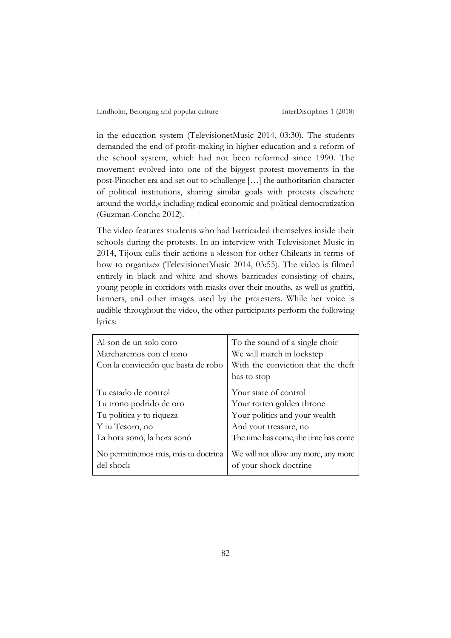in the education system (TelevisionetMusic 2014, 03:30). The students demanded the end of profit-making in higher education and a reform of the school system, which had not been reformed since 1990. The movement evolved into one of the biggest protest movements in the post-Pinochet era and set out to »challenge […] the authoritarian character of political institutions, sharing similar goals with protests elsewhere around the world,« including radical economic and political democratization (Guzman-Concha 2012).

The video features students who had barricaded themselves inside their schools during the protests. In an interview with Televisionet Music in 2014, Tijoux calls their actions a »lesson for other Chileans in terms of how to organize« (TelevisionetMusic 2014, 03:55). The video is filmed entirely in black and white and shows barricades consisting of chairs, young people in corridors with masks over their mouths, as well as graffiti, banners, and other images used by the protesters. While her voice is audible throughout the video, the other participants perform the following lyrics:

| Al son de un solo coro                            | To the sound of a single choir                                 |
|---------------------------------------------------|----------------------------------------------------------------|
| Marcharemos con el tono                           | We will march in lockstep                                      |
| Con la convicción que basta de robo               | With the conviction that the theft                             |
|                                                   | has to stop                                                    |
| Tu estado de control                              | Your state of control                                          |
| Tu trono podrido de oro                           | Your rotten golden throne                                      |
| Tu política y tu riqueza                          | Your politics and your wealth                                  |
| Y tu Tesoro, no                                   | And your treasure, no                                          |
| La hora sonó, la hora sonó                        | The time has come, the time has come                           |
| No permitiremos más, más tu doctrina<br>del shock | We will not allow any more, any more<br>of your shock doctrine |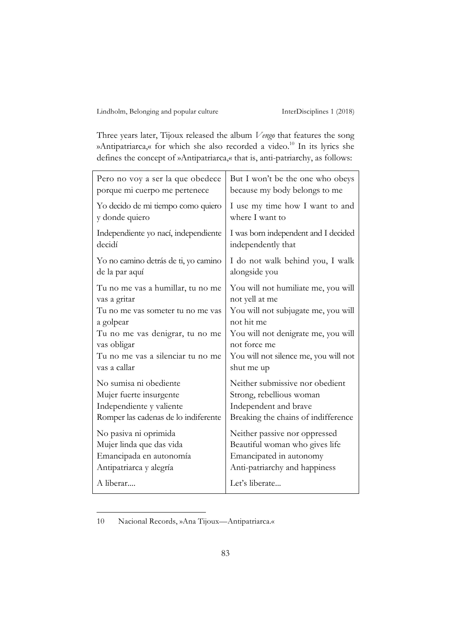Three years later, Tijoux released the album *Vengo* that features the song »Antipatriarca,« for which she also recorded a video. <sup>10</sup> In its lyrics she defines the concept of »Antipatriarca,« that is, anti-patriarchy, as follows:

| Pero no voy a ser la que obedece     | But I won't be the one who obeys      |
|--------------------------------------|---------------------------------------|
| porque mi cuerpo me pertenece        | because my body belongs to me         |
| Yo decido de mi tiempo como quiero   | I use my time how I want to and       |
| y donde quiero                       | where I want to                       |
| Independiente yo nací, independiente | I was born independent and I decided  |
| decidí                               | independently that                    |
| Yo no camino detrás de ti, yo camino | I do not walk behind you, I walk      |
| de la par aquí                       | alongside you                         |
| Tu no me vas a humillar, tu no me    | You will not humiliate me, you will   |
| vas a gritar                         | not yell at me                        |
| Tu no me vas someter tu no me vas    | You will not subjugate me, you will   |
| a golpear                            | not hit me                            |
| Tu no me vas denigrar, tu no me      | You will not denigrate me, you will   |
| vas obligar                          | not force me                          |
| Tu no me vas a silenciar tu no me    | You will not silence me, you will not |
| vas a callar                         | shut me up                            |
| No sumisa ni obediente               | Neither submissive nor obedient       |
| Mujer fuerte insurgente              | Strong, rebellious woman              |
| Independiente y valiente             | Independent and brave                 |
| Romper las cadenas de lo indiferente | Breaking the chains of indifference   |
| No pasiva ni oprimida                | Neither passive nor oppressed         |
| Mujer linda que das vida             | Beautiful woman who gives life        |
| Emancipada en autonomía              | Emancipated in autonomy               |
| Antipatriarca y alegría              | Anti-patriarchy and happiness         |
| A liberar                            | Let's liberate                        |

<sup>10</sup> Nacional Records, »Ana Tijoux—Antipatriarca.«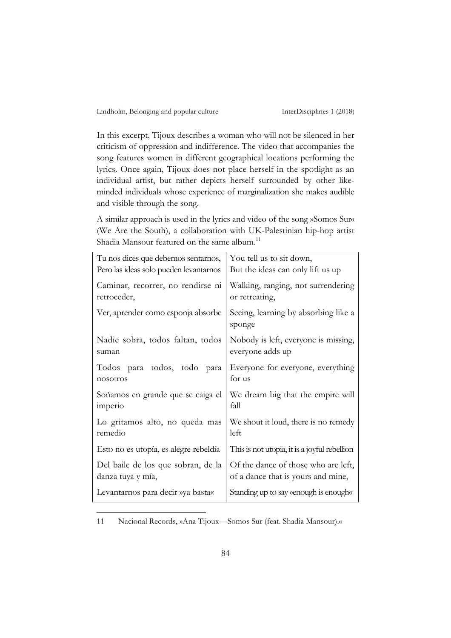In this excerpt, Tijoux describes a woman who will not be silenced in her criticism of oppression and indifference. The video that accompanies the song features women in different geographical locations performing the lyrics. Once again, Tijoux does not place herself in the spotlight as an individual artist, but rather depicts herself surrounded by other likeminded individuals whose experience of marginalization she makes audible and visible through the song.

A similar approach is used in the lyrics and video of the song »Somos Sur« (We Are the South), a collaboration with UK-Palestinian hip-hop artist Shadia Mansour featured on the same album.<sup>11</sup>

| Tu nos dices que debemos sentarnos,    | You tell us to sit down,                       |
|----------------------------------------|------------------------------------------------|
| Pero las ideas solo pueden levantarnos | But the ideas can only lift us up              |
| Caminar, recorrer, no rendirse ni      | Walking, ranging, not surrendering             |
| retroceder,                            | or retreating,                                 |
| Ver, aprender como esponja absorbe     | Seeing, learning by absorbing like a<br>sponge |
| Nadie sobra, todos faltan, todos       | Nobody is left, everyone is missing,           |
| suman                                  | everyone adds up                               |
| Todos para todos, todo para            | Everyone for everyone, everything              |
| nosotros                               | for us                                         |
| Soñamos en grande que se caiga el      | We dream big that the empire will              |
| imperio                                | fall                                           |
| Lo gritamos alto, no queda mas         | We shout it loud, there is no remedy           |
| remedio                                | left                                           |
| Esto no es utopía, es alegre rebeldía  | This is not utopia, it is a joyful rebellion   |
| Del baile de los que sobran, de la     | Of the dance of those who are left,            |
| danza tuya y mía,                      | of a dance that is yours and mine,             |
| Levantarnos para decir »ya basta«      | Standing up to say venough is enough«          |

11 Nacional Records, »Ana Tijoux—Somos Sur (feat. Shadia Mansour).«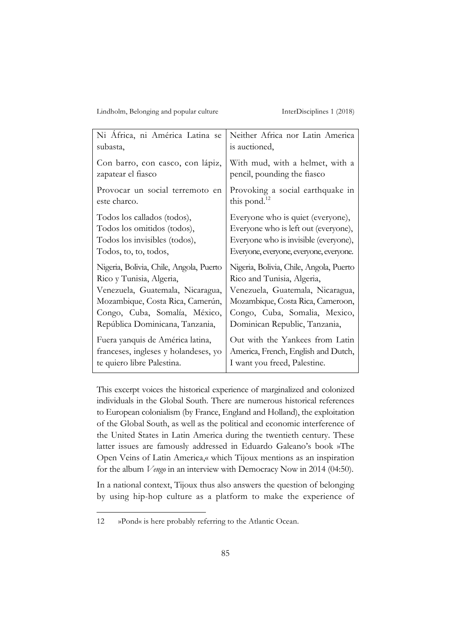| Ni Africa, ni América Latina se         | Neither Africa nor Latin America        |
|-----------------------------------------|-----------------------------------------|
| subasta,                                | is auctioned,                           |
| Con barro, con casco, con lápiz,        | With mud, with a helmet, with a         |
| zapatear el fiasco                      | pencil, pounding the fiasco             |
| Provocar un social terremoto en         | Provoking a social earthquake in        |
| este charco.                            | this pond. $^{12}$                      |
| Todos los callados (todos),             | Everyone who is quiet (everyone),       |
| Todos los omitidos (todos),             | Everyone who is left out (everyone),    |
| Todos los invisibles (todos),           | Everyone who is invisible (everyone),   |
| Todos, to, to, todos,                   | Everyone, everyone, everyone, everyone. |
| Nigeria, Bolivia, Chile, Angola, Puerto | Nigeria, Bolivia, Chile, Angola, Puerto |
| Rico y Tunisia, Algeria,                | Rico and Tunisia, Algeria,              |
| Venezuela, Guatemala, Nicaragua,        | Venezuela, Guatemala, Nicaragua,        |
| Mozambique, Costa Rica, Camerún,        | Mozambique, Costa Rica, Cameroon,       |
| Congo, Cuba, Somalía, México,           | Congo, Cuba, Somalia, Mexico,           |
| República Dominicana, Tanzania,         | Dominican Republic, Tanzania,           |
| Fuera yanquis de América latina,        | Out with the Yankees from Latin         |
| franceses, ingleses y holandeses, yo    | America, French, English and Dutch,     |
| te quiero libre Palestina.              | I want you freed, Palestine.            |

This excerpt voices the historical experience of marginalized and colonized individuals in the Global South. There are numerous historical references to European colonialism (by France, England and Holland), the exploitation of the Global South, as well as the political and economic interference of the United States in Latin America during the twentieth century. These latter issues are famously addressed in Eduardo Galeano's book »The Open Veins of Latin America,« which Tijoux mentions as an inspiration for the album *Vengo* in an interview with Democracy Now in 2014 (04:50).

In a national context, Tijoux thus also answers the question of belonging by using hip-hop culture as a platform to make the experience of

<sup>12</sup> »Pond« is here probably referring to the Atlantic Ocean.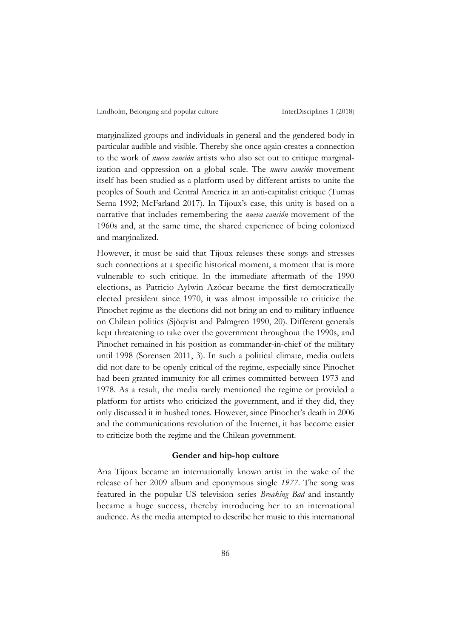marginalized groups and individuals in general and the gendered body in particular audible and visible. Thereby she once again creates a connection to the work of *nueva canción* artists who also set out to critique marginalization and oppression on a global scale. The *nueva canción* movement itself has been studied as a platform used by different artists to unite the peoples of South and Central America in an anti-capitalist critique (Tumas Serna 1992; McFarland 2017). In Tijoux's case, this unity is based on a narrative that includes remembering the *nueva canción* movement of the 1960s and, at the same time, the shared experience of being colonized and marginalized.

However, it must be said that Tijoux releases these songs and stresses such connections at a specific historical moment, a moment that is more vulnerable to such critique. In the immediate aftermath of the 1990 elections, as Patricio Aylwin Azócar became the first democratically elected president since 1970, it was almost impossible to criticize the Pinochet regime as the elections did not bring an end to military influence on Chilean politics (Sjöqvist and Palmgren 1990, 20). Different generals kept threatening to take over the government throughout the 1990s, and Pinochet remained in his position as commander-in-chief of the military until 1998 (Sorensen 2011, 3). In such a political climate, media outlets did not dare to be openly critical of the regime, especially since Pinochet had been granted immunity for all crimes committed between 1973 and 1978. As a result, the media rarely mentioned the regime or provided a platform for artists who criticized the government, and if they did, they only discussed it in hushed tones. However, since Pinochet's death in 2006 and the communications revolution of the Internet, it has become easier to criticize both the regime and the Chilean government.

## **Gender and hip-hop culture**

Ana Tijoux became an internationally known artist in the wake of the release of her 2009 album and eponymous single *1977*. The song was featured in the popular US television series *Breaking Bad* and instantly became a huge success, thereby introducing her to an international audience. As the media attempted to describe her music to this international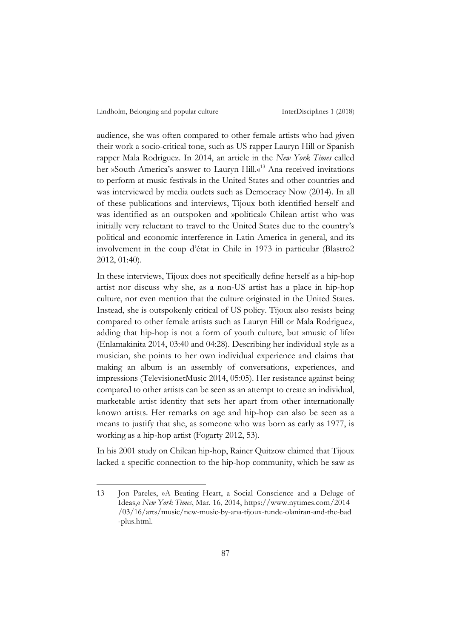audience, she was often compared to other female artists who had given their work a socio-critical tone, such as US rapper Lauryn Hill or Spanish rapper Mala Rodriguez. In 2014, an article in the *New York Times* called her »South America's answer to Lauryn Hill.«<sup>13</sup> Ana received invitations to perform at music festivals in the United States and other countries and was interviewed by media outlets such as Democracy Now (2014). In all of these publications and interviews, Tijoux both identified herself and was identified as an outspoken and »political« Chilean artist who was initially very reluctant to travel to the United States due to the country's political and economic interference in Latin America in general, and its involvement in the coup d'état in Chile in 1973 in particular (Blastro2 2012, 01:40).

In these interviews, Tijoux does not specifically define herself as a hip-hop artist nor discuss why she, as a non-US artist has a place in hip-hop culture, nor even mention that the culture originated in the United States. Instead, she is outspokenly critical of US policy. Tijoux also resists being compared to other female artists such as Lauryn Hill or Mala Rodriguez, adding that hip-hop is not a form of youth culture, but »music of life« (Enlamakinita 2014, 03:40 and 04:28). Describing her individual style as a musician, she points to her own individual experience and claims that making an album is an assembly of conversations, experiences, and impressions (TelevisionetMusic 2014, 05:05). Her resistance against being compared to other artists can be seen as an attempt to create an individual, marketable artist identity that sets her apart from other internationally known artists. Her remarks on age and hip-hop can also be seen as a means to justify that she, as someone who was born as early as 1977, is working as a hip-hop artist (Fogarty 2012, 53).

In his 2001 study on Chilean hip-hop, Rainer Quitzow claimed that Tijoux lacked a specific connection to the hip-hop community, which he saw as

<sup>13</sup> Jon Pareles, »A Beating Heart, a Social Conscience and a Deluge of Ideas,« *New York Times*, Mar. 16, 2014, https://www.nytimes.com/2014 /03/16/arts/music/new-music-by-ana-tijoux-tunde-olaniran-and-the-bad -plus.html.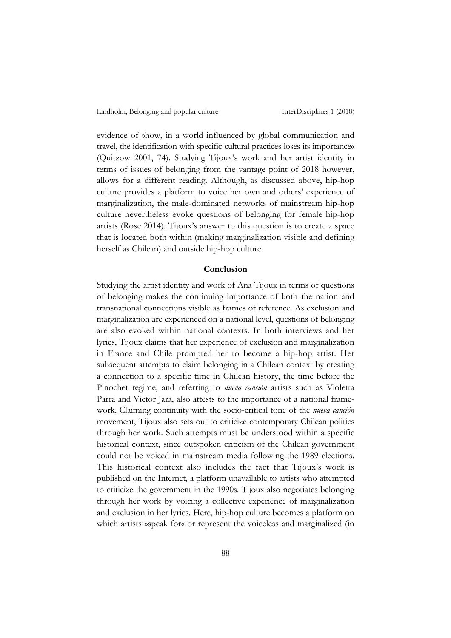evidence of »how, in a world influenced by global communication and travel, the identification with specific cultural practices loses its importance« (Quitzow 2001, 74). Studying Tijoux's work and her artist identity in terms of issues of belonging from the vantage point of 2018 however, allows for a different reading. Although, as discussed above, hip-hop culture provides a platform to voice her own and others' experience of marginalization, the male-dominated networks of mainstream hip-hop culture nevertheless evoke questions of belonging for female hip-hop artists (Rose 2014). Tijoux's answer to this question is to create a space that is located both within (making marginalization visible and defining herself as Chilean) and outside hip-hop culture.

## **Conclusion**

Studying the artist identity and work of Ana Tijoux in terms of questions of belonging makes the continuing importance of both the nation and transnational connections visible as frames of reference. As exclusion and marginalization are experienced on a national level, questions of belonging are also evoked within national contexts. In both interviews and her lyrics, Tijoux claims that her experience of exclusion and marginalization in France and Chile prompted her to become a hip-hop artist. Her subsequent attempts to claim belonging in a Chilean context by creating a connection to a specific time in Chilean history, the time before the Pinochet regime, and referring to *nueva canción* artists such as Violetta Parra and Victor Jara, also attests to the importance of a national framework. Claiming continuity with the socio-critical tone of the *nueva canción* movement, Tijoux also sets out to criticize contemporary Chilean politics through her work. Such attempts must be understood within a specific historical context, since outspoken criticism of the Chilean government could not be voiced in mainstream media following the 1989 elections. This historical context also includes the fact that Tijoux's work is published on the Internet, a platform unavailable to artists who attempted to criticize the government in the 1990s. Tijoux also negotiates belonging through her work by voicing a collective experience of marginalization and exclusion in her lyrics. Here, hip-hop culture becomes a platform on which artists »speak for« or represent the voiceless and marginalized (in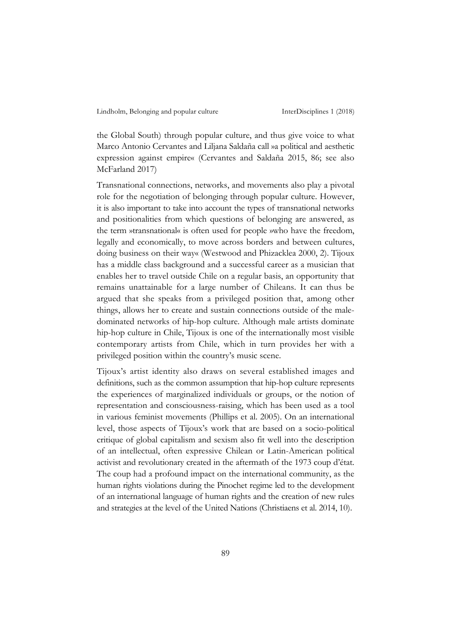the Global South) through popular culture, and thus give voice to what Marco Antonio Cervantes and Liljana Saldaña call »a political and aesthetic expression against empire« (Cervantes and Saldaña 2015, 86; see also McFarland 2017)

Transnational connections, networks, and movements also play a pivotal role for the negotiation of belonging through popular culture. However, it is also important to take into account the types of transnational networks and positionalities from which questions of belonging are answered, as the term »transnational« is often used for people »who have the freedom, legally and economically, to move across borders and between cultures, doing business on their way« (Westwood and Phizacklea 2000, 2). Tijoux has a middle class background and a successful career as a musician that enables her to travel outside Chile on a regular basis, an opportunity that remains unattainable for a large number of Chileans. It can thus be argued that she speaks from a privileged position that, among other things, allows her to create and sustain connections outside of the maledominated networks of hip-hop culture. Although male artists dominate hip-hop culture in Chile, Tijoux is one of the internationally most visible contemporary artists from Chile, which in turn provides her with a privileged position within the country's music scene.

Tijoux's artist identity also draws on several established images and definitions, such as the common assumption that hip-hop culture represents the experiences of marginalized individuals or groups, or the notion of representation and consciousness-raising, which has been used as a tool in various feminist movements (Phillips et al. 2005). On an international level, those aspects of Tijoux's work that are based on a socio-political critique of global capitalism and sexism also fit well into the description of an intellectual, often expressive Chilean or Latin-American political activist and revolutionary created in the aftermath of the 1973 coup d'état. The coup had a profound impact on the international community, as the human rights violations during the Pinochet regime led to the development of an international language of human rights and the creation of new rules and strategies at the level of the United Nations (Christiaens et al. 2014, 10).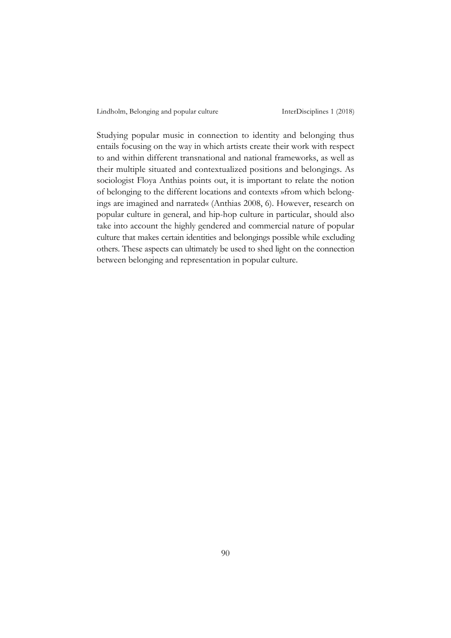Studying popular music in connection to identity and belonging thus entails focusing on the way in which artists create their work with respect to and within different transnational and national frameworks, as well as their multiple situated and contextualized positions and belongings. As sociologist Floya Anthias points out, it is important to relate the notion of belonging to the different locations and contexts »from which belongings are imagined and narrated« (Anthias 2008, 6). However, research on popular culture in general, and hip-hop culture in particular, should also take into account the highly gendered and commercial nature of popular culture that makes certain identities and belongings possible while excluding others. These aspects can ultimately be used to shed light on the connection between belonging and representation in popular culture.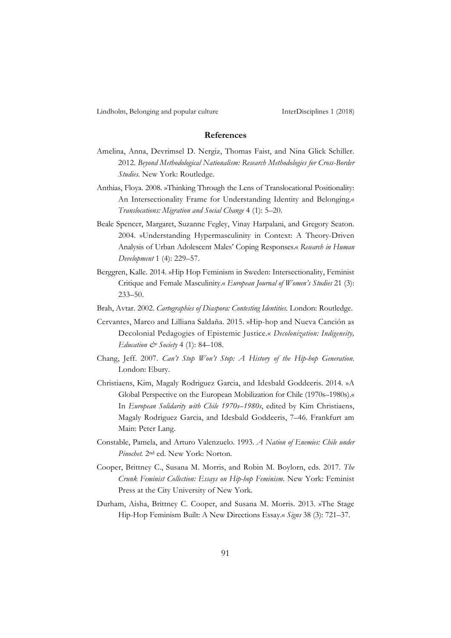#### **References**

- Amelina, Anna, Devrimsel D. Nergiz, Thomas Faist, and Nina Glick Schiller. 2012. *Beyond Methodological Nationalism: Research Methodologies for Cross-Border Studies.* New York: Routledge.
- Anthias, Floya. 2008. »Thinking Through the Lens of Translocational Positionality: An Intersectionality Frame for Understanding Identity and Belonging.« *Translocations: Migration and Social Change* 4 (1): 5–20.
- Beale Spencer, Margaret, Suzanne Fegley, Vinay Harpalani, and Gregory Seaton. 2004. »Understanding Hypermasculinity in Context: A Theory-Driven Analysis of Urban Adolescent Males' Coping Responses.« *Research in Human Development* 1 (4): 229–57.
- Berggren, Kalle. 2014. »Hip Hop Feminism in Sweden: Intersectionality, Feminist Critique and Female Masculinity.« *European Journal of Women's Studies* 21 (3): 233–50.
- Brah, Avtar. 2002. *Cartographies of Diaspora: Contesting Identities*. London: Routledge.
- Cervantes, Marco and Lilliana Saldaña. 2015. »Hip-hop and Nueva Canción as Decolonial Pedagogies of Epistemic Justice.« *Decolonization: Indigeneity, Education & Society* 4 (1): 84–108.
- Chang, Jeff. 2007. *Can't Stop Won't Stop: A History of the Hip-hop Generation*. London: Ebury.
- Christiaens, Kim, Magaly Rodriguez Garcia, and Idesbald Goddeeris. 2014. »A Global Perspective on the European Mobilization for Chile (1970s–1980s).« In *European Solidarity with Chile 1970s–1980s*, edited by Kim Christiaens, Magaly Rodriguez Garcia, and Idesbald Goddeeris, 7–46. Frankfurt am Main: Peter Lang.
- Constable, Pamela, and Arturo Valenzuelo. 1993. *A Nation of Enemies: Chile under Pinochet.* 2nd ed. New York: Norton*.*
- Cooper, Brittney C., Susana M. Morris, and Robin M. Boylorn, eds. 2017. *The Crunk Feminist Collection: Essays on Hip-hop Feminism*. New York: Feminist Press at the City University of New York.
- Durham, Aisha, Brittney C. Cooper, and Susana M. Morris. 2013. »The Stage Hip-Hop Feminism Built: A New Directions Essay.« *Signs* 38 (3): 721–37.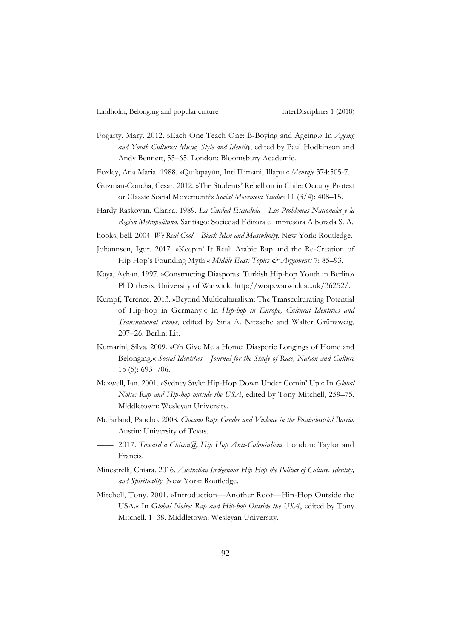- Fogarty, Mary. 2012. »Each One Teach One: B-Boying and Ageing.« In *Ageing and Youth Cultures: Music, Style and Identity*, edited by Paul Hodkinson and Andy Bennett, 53–65. London: Bloomsbury Academic*.*
- Foxley, Ana Maria. 1988. »Quilapayún, Inti Illimani, Illapu.« *Mensaje* 374:505-7.
- Guzman-Concha, Cesar. 2012. »The Students' Rebellion in Chile: Occupy Protest or Classic Social Movement?« *Social Movement Studies* 11 (3/4): 408–15.
- Hardy Raskovan, Clarisa. 1989. *La Ciudad Escindida—Los Problemas Nacionales y la Region Metropolitana.* Santiago: Sociedad Editora e Impresora Alborada S. A.
- hooks, bell. 2004. *We Real Cool—Black Men and Masculinity*. New York: Routledge.
- Johannsen, Igor. 2017. »Keepin' It Real: Arabic Rap and the Re-Creation of Hip Hop's Founding Myth.« *Middle East: Topics & Arguments* 7: 85-93.
- Kaya, Ayhan. 1997. »Constructing Diasporas: Turkish Hip-hop Youth in Berlin.« PhD thesis, University of Warwick. http://wrap.warwick.ac.uk/36252/.
- Kumpf, Terence. 2013. »Beyond Multiculturalism: The Transculturating Potential of Hip-hop in Germany.« In *Hip-hop in Europe, Cultural Identities and Transnational Flows*, edited by Sina A. Nitzsche and Walter Grünzweig, 207–26. Berlin: Lit.
- Kumarini, Silva. 2009. »Oh Give Me a Home: Diasporic Longings of Home and Belonging.« *Social Identities—Journal for the Study of Race, Nation and Culture* 15 (5): 693–706.
- Maxwell, Ian. 2001. »Sydney Style: Hip-Hop Down Under Comin' Up.« In *Global Noise: Rap and Hip-hop outside the USA*, edited by Tony Mitchell, 259–75. Middletown: Wesleyan University.
- McFarland, Pancho. 2008. *Chicano Rap: Gender and Violence in the Postindustrial Barrio*. Austin: University of Texas.
- —— 2017. *Toward a Chican@ Hip Hop Anti-Colonialism.* London: Taylor and Francis.
- Minestrelli, Chiara. 2016. *Australian Indigenous Hip Hop the Politics of Culture, Identity, and Spirituality.* New York: Routledge.
- Mitchell, Tony. 2001. »Introduction—Another Root—Hip-Hop Outside the USA.« In G*lobal Noise: Rap and Hip-hop Outside the USA*, edited by Tony Mitchell, 1–38. Middletown: Wesleyan University.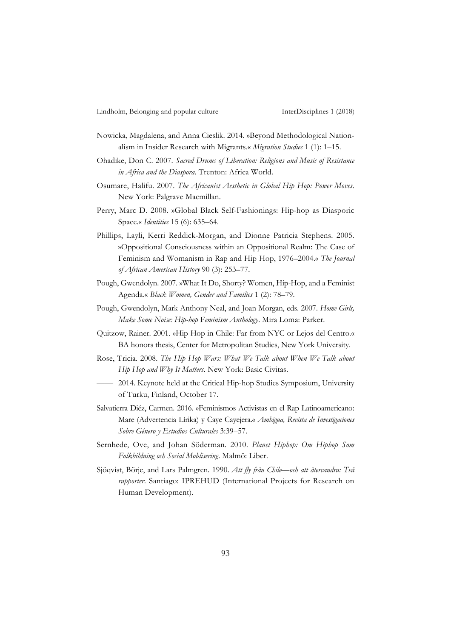- Nowicka, Magdalena, and Anna Cieslik. 2014. »Beyond Methodological Nationalism in Insider Research with Migrants.« *Migration Studies* 1 (1): 1–15.
- Ohadike, Don C. 2007. *Sacred Drums of Liberation: Religions and Music of Resistance in Africa and the Diaspora.* Trenton: Africa World.
- Osumare, Halifu. 2007. *The Africanist Aesthetic in Global Hip Hop: Power Moves*. New York: Palgrave Macmillan.
- Perry, Marc D. 2008. »Global Black Self-Fashionings: Hip-hop as Diasporic Space.« *Identities* 15 (6): 635–64.
- Phillips, Layli, Kerri Reddick-Morgan, and Dionne Patricia Stephens. 2005. »Oppositional Consciousness within an Oppositional Realm: The Case of Feminism and Womanism in Rap and Hip Hop, 1976–2004.« *The Journal of African American History* 90 (3): 253–77.
- Pough, Gwendolyn. 2007. »What It Do, Shorty? Women, Hip-Hop, and a Feminist Agenda.« *Black Women, Gender and Families* 1 (2): 78–79*.*
- Pough, Gwendolyn, Mark Anthony Neal, and Joan Morgan, eds. 2007. *Home Girls, Make Some Noise: Hip-hop* F*eminism Anthology*. Mira Loma: Parker.
- Quitzow, Rainer. 2001. »Hip Hop in Chile: Far from NYC or Lejos del Centro*.*« BA honors thesis, Center for Metropolitan Studies, New York University.
- Rose, Tricia. 2008. *The Hip Hop Wars: What We Talk about When We Talk about Hip Hop and Why It Matters*. New York: Basic Civitas.
	- 2014. Keynote held at the Critical Hip-hop Studies Symposium, University of Turku, Finland, October 17.
- Salvatierra Diéz, Carmen. 2016. »Feminismos Activistas en el Rap Latinoamericano: Mare (Advertencia Lírika) y Caye Cayejera.« *Ambigua, Revista de Investigaciones Sobre Género y Estudios Culturales* 3:39–57.
- Sernhede, Ove, and Johan Söderman. 2010. *Planet Hiphop: Om Hiphop Som Folkbildning och Social Moblisering*. Malmö: Liber.
- Sjöqvist, Börje, and Lars Palmgren. 1990. *Att fly från Chile—och att återvandra: Två rapporter*. Santiago: IPREHUD (International Projects for Research on Human Development).